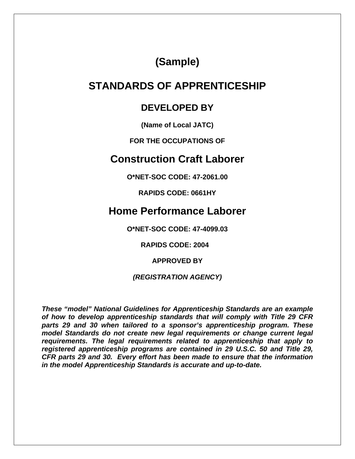**(Sample)** 

# **STANDARDS OF APPRENTICESHIP**

## **DEVELOPED BY**

**(Name of Local JATC)** 

**FOR THE OCCUPATIONS OF** 

## **Construction Craft Laborer**

**O\*NET-SOC CODE: 47-2061.00** 

**RAPIDS CODE: 0661HY** 

# **Home Performance Laborer**

**O\*NET-SOC CODE: 47-4099.03** 

**RAPIDS CODE: 2004** 

**APPROVED BY** 

*(REGISTRATION AGENCY)* 

*These "model" National Guidelines for Apprenticeship Standards are an example of how to develop apprenticeship standards that will comply with Title 29 CFR parts 29 and 30 when tailored to a sponsor's apprenticeship program. These model Standards do not create new legal requirements or change current legal requirements. The legal requirements related to apprenticeship that apply to registered apprenticeship programs are contained in 29 U.S.C. 50 and Title 29, CFR parts 29 and 30. Every effort has been made to ensure that the information in the model Apprenticeship Standards is accurate and up-to-date.*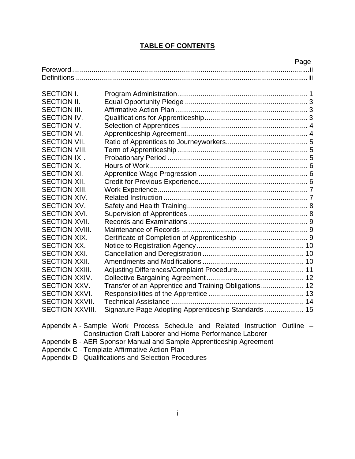#### **TABLE OF CONTENTS**

|                        | Page                                                  |
|------------------------|-------------------------------------------------------|
|                        |                                                       |
|                        |                                                       |
|                        |                                                       |
| <b>SECTION I.</b>      |                                                       |
| <b>SECTION II.</b>     |                                                       |
| <b>SECTION III.</b>    |                                                       |
| <b>SECTION IV.</b>     |                                                       |
| <b>SECTION V.</b>      |                                                       |
| <b>SECTION VI.</b>     |                                                       |
| <b>SECTION VII.</b>    |                                                       |
| <b>SECTION VIII.</b>   |                                                       |
| SECTION IX.            |                                                       |
| <b>SECTION X.</b>      |                                                       |
| <b>SECTION XI.</b>     |                                                       |
| <b>SECTION XII.</b>    |                                                       |
| <b>SECTION XIII.</b>   |                                                       |
| <b>SECTION XIV.</b>    |                                                       |
| <b>SECTION XV.</b>     |                                                       |
| <b>SECTION XVI.</b>    |                                                       |
| <b>SECTION XVII.</b>   |                                                       |
| <b>SECTION XVIII.</b>  |                                                       |
| <b>SECTION XIX.</b>    |                                                       |
| <b>SECTION XX.</b>     |                                                       |
| <b>SECTION XXI.</b>    |                                                       |
| <b>SECTION XXII.</b>   |                                                       |
| <b>SECTION XXIII.</b>  |                                                       |
| <b>SECTION XXIV.</b>   |                                                       |
| <b>SECTION XXV.</b>    | Transfer of an Apprentice and Training Obligations 12 |
| <b>SECTION XXVI.</b>   |                                                       |
| <b>SECTION XXVII.</b>  |                                                       |
| <b>SECTION XXVIII.</b> | Signature Page Adopting Apprenticeship Standards  15  |
|                        |                                                       |

Appendix A - Sample Work Process Schedule and Related Instruction Outline – Construction Craft Laborer and Home Performance Laborer

Appendix B - AER Sponsor Manual and Sample Apprenticeship Agreement

Appendix C - Template Affirmative Action Plan

Appendix D - Qualifications and Selection Procedures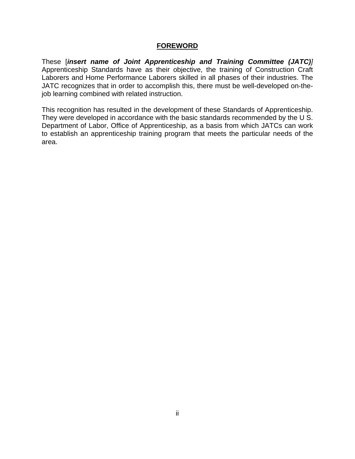#### **FOREWORD**

These [*insert name of Joint Apprenticeship and Training Committee (JATC)]* Apprenticeship Standards have as their objective, the training of Construction Craft Laborers and Home Performance Laborers skilled in all phases of their industries. The JATC recognizes that in order to accomplish this, there must be well-developed on-thejob learning combined with related instruction.

This recognition has resulted in the development of these Standards of Apprenticeship. They were developed in accordance with the basic standards recommended by the U S. Department of Labor, Office of Apprenticeship, as a basis from which JATCs can work to establish an apprenticeship training program that meets the particular needs of the area.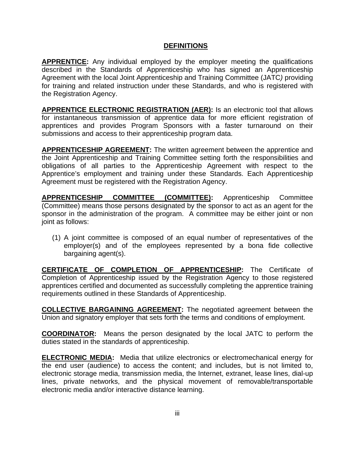#### **DEFINITIONS**

**APPRENTICE:** Any individual employed by the employer meeting the qualifications described in the Standards of Apprenticeship who has signed an Apprenticeship Agreement with the local Joint Apprenticeship and Training Committee (JATC*)* providing for training and related instruction under these Standards, and who is registered with the Registration Agency.

**APPRENTICE ELECTRONIC REGISTRATION (AER):** Is an electronic tool that allows for instantaneous transmission of apprentice data for more efficient registration of apprentices and provides Program Sponsors with a faster turnaround on their submissions and access to their apprenticeship program data.

**APPRENTICESHIP AGREEMENT:** The written agreement between the apprentice and the Joint Apprenticeship and Training Committee setting forth the responsibilities and obligations of all parties to the Apprenticeship Agreement with respect to the Apprentice's employment and training under these Standards. Each Apprenticeship Agreement must be registered with the Registration Agency.

**APPRENTICESHIP COMMITTEE (COMMITTEE):** Apprenticeship Committee (Committee) means those persons designated by the sponsor to act as an agent for the sponsor in the administration of the program. A committee may be either joint or non joint as follows:

(1) A joint committee is composed of an equal number of representatives of the employer(s) and of the employees represented by a bona fide collective bargaining agent(s).

**CERTIFICATE OF COMPLETION OF APPRENTICESHIP:** The Certificate of Completion of Apprenticeship issued by the Registration Agency to those registered apprentices certified and documented as successfully completing the apprentice training requirements outlined in these Standards of Apprenticeship.

**COLLECTIVE BARGAINING AGREEMENT:** The negotiated agreement between the Union and signatory employer that sets forth the terms and conditions of employment.

**COORDINATOR:** Means the person designated by the local JATC to perform the duties stated in the standards of apprenticeship.

**ELECTRONIC MEDIA:** Media that utilize electronics or electromechanical energy for the end user (audience) to access the content; and includes, but is not limited to, electronic storage media, transmission media, the Internet, extranet, lease lines, dial-up lines, private networks, and the physical movement of removable/transportable electronic media and/or interactive distance learning.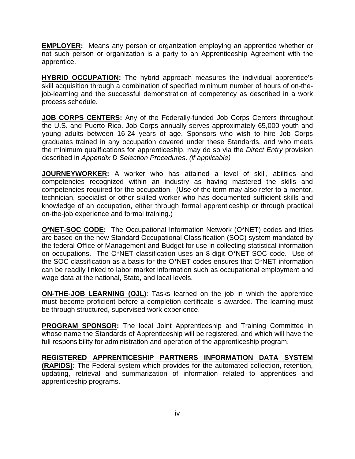**EMPLOYER:** Means any person or organization employing an apprentice whether or not such person or organization is a party to an Apprenticeship Agreement with the apprentice.

**HYBRID OCCUPATION:** The hybrid approach measures the individual apprentice's skill acquisition through a combination of specified minimum number of hours of on-thejob-learning and the successful demonstration of competency as described in a work process schedule.

**JOB CORPS CENTERS:** Any of the Federally-funded Job Corps Centers throughout the U.S. and Puerto Rico. Job Corps annually serves approximately 65,000 youth and young adults between 16-24 years of age. Sponsors who wish to hire Job Corps graduates trained in any occupation covered under these Standards, and who meets the minimum qualifications for apprenticeship, may do so via the *Direct Entry* provision described in *Appendix D Selection Procedures*. *(if applicable)*

**JOURNEYWORKER:** A worker who has attained a level of skill, abilities and competencies recognized within an industry as having mastered the skills and competencies required for the occupation. (Use of the term may also refer to a mentor, technician, specialist or other skilled worker who has documented sufficient skills and knowledge of an occupation, either through formal apprenticeship or through practical on-the-job experience and formal training.)

**O\*NET-SOC CODE:** The Occupational Information Network (O\*NET) codes and titles are based on the new Standard Occupational Classification (SOC) system mandated by the federal Office of Management and Budget for use in collecting statistical information on occupations. The O\*NET classification uses an 8-digit O\*NET-SOC code. Use of the SOC classification as a basis for the O\*NET codes ensures that O\*NET information can be readily linked to labor market information such as occupational employment and wage data at the national, State, and local levels.

**ON-THE-JOB LEARNING (OJL)**: Tasks learned on the job in which the apprentice must become proficient before a completion certificate is awarded. The learning must be through structured, supervised work experience.

**PROGRAM SPONSOR:** The local Joint Apprenticeship and Training Committee in whose name the Standards of Apprenticeship will be registered, and which will have the full responsibility for administration and operation of the apprenticeship program.

**REGISTERED APPRENTICESHIP PARTNERS INFORMATION DATA SYSTEM (RAPIDS):** The Federal system which provides for the automated collection, retention, updating, retrieval and summarization of information related to apprentices and apprenticeship programs.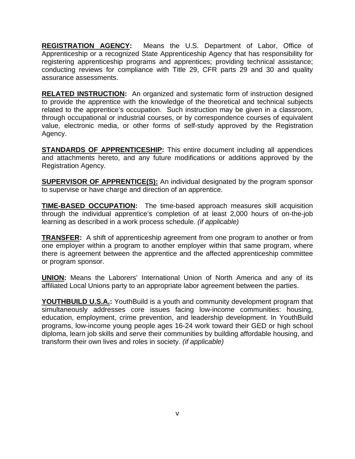**REGISTRATION AGENCY:** Means the U.S. Department of Labor, Office of Apprenticeship or a recognized State Apprenticeship Agency that has responsibility for registering apprenticeship programs and apprentices; providing technical assistance; conducting reviews for compliance with Title 29, CFR parts 29 and 30 and quality assurance assessments.

**RELATED INSTRUCTION:** An organized and systematic form of instruction designed to provide the apprentice with the knowledge of the theoretical and technical subjects related to the apprentice's occupation. Such instruction may be given in a classroom, through occupational or industrial courses, or by correspondence courses of equivalent value, electronic media, or other forms of self-study approved by the Registration Agency.

**STANDARDS OF APPRENTICESHIP:** This entire document including all appendices and attachments hereto, and any future modifications or additions approved by the Registration Agency.

**SUPERVISOR OF APPRENTICE(S):** An individual designated by the program sponsor to supervise or have charge and direction of an apprentice.

**TIME-BASED OCCUPATION:** The time-based approach measures skill acquisition through the individual apprentice's completion of at least 2,000 hours of on-the-job learning as described in a work process schedule. *(if applicable)* 

**TRANSFER:** A shift of apprenticeship agreement from one program to another or from one employer within a program to another employer within that same program, where there is agreement between the apprentice and the affected apprenticeship committee or program sponsor.

**UNION:** Means the Laborers' International Union of North America and any of its affiliated Local Unions party to an appropriate labor agreement between the parties.

**YOUTHBUILD U.S.A.:** YouthBuild is a youth and community development program that simultaneously addresses core issues facing low-income communities: housing, education, employment, crime prevention, and leadership development. In YouthBuild programs, low-income young people ages 16-24 work toward their GED or high school diploma, learn job skills and serve their communities by building affordable housing, and transform their own lives and roles in society. *(if applicable)*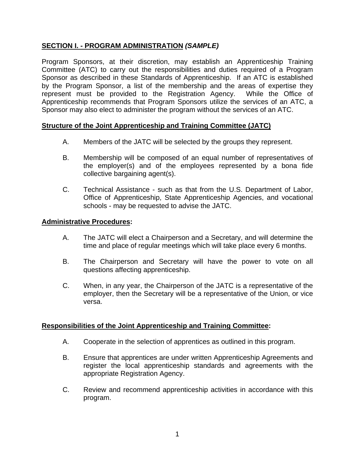### **SECTION I. - PROGRAM ADMINISTRATION** *(SAMPLE)*

Program Sponsors, at their discretion, may establish an Apprenticeship Training Committee (ATC) to carry out the responsibilities and duties required of a Program Sponsor as described in these Standards of Apprenticeship. If an ATC is established by the Program Sponsor, a list of the membership and the areas of expertise they represent must be provided to the Registration Agency. While the Office of Apprenticeship recommends that Program Sponsors utilize the services of an ATC, a Sponsor may also elect to administer the program without the services of an ATC.

#### **Structure of the Joint Apprenticeship and Training Committee (JATC)**

- A. Members of the JATC will be selected by the groups they represent.
- B. Membership will be composed of an equal number of representatives of the employer(s) and of the employees represented by a bona fide collective bargaining agent(s).
- C. Technical Assistance such as that from the U.S. Department of Labor, Office of Apprenticeship, State Apprenticeship Agencies, and vocational schools - may be requested to advise the JATC.

#### **Administrative Procedures:**

- A. The JATC will elect a Chairperson and a Secretary, and will determine the time and place of regular meetings which will take place every 6 months.
- B. The Chairperson and Secretary will have the power to vote on all questions affecting apprenticeship.
- C. When, in any year, the Chairperson of the JATC is a representative of the employer, then the Secretary will be a representative of the Union, or vice versa.

#### **Responsibilities of the Joint Apprenticeship and Training Committee:**

- A. Cooperate in the selection of apprentices as outlined in this program.
- B. Ensure that apprentices are under written Apprenticeship Agreements and register the local apprenticeship standards and agreements with the appropriate Registration Agency.
- C. Review and recommend apprenticeship activities in accordance with this program.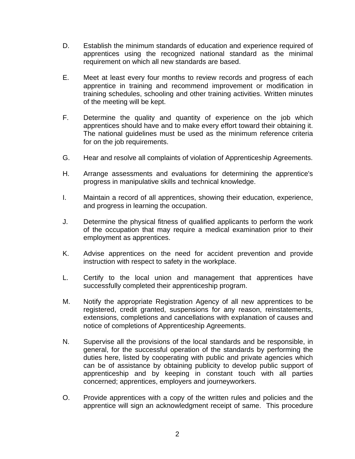- D. Establish the minimum standards of education and experience required of apprentices using the recognized national standard as the minimal requirement on which all new standards are based.
- E. Meet at least every four months to review records and progress of each apprentice in training and recommend improvement or modification in training schedules, schooling and other training activities. Written minutes of the meeting will be kept.
- F. Determine the quality and quantity of experience on the job which apprentices should have and to make every effort toward their obtaining it. The national guidelines must be used as the minimum reference criteria for on the job requirements.
- G. Hear and resolve all complaints of violation of Apprenticeship Agreements.
- H. Arrange assessments and evaluations for determining the apprentice's progress in manipulative skills and technical knowledge.
- I. Maintain a record of all apprentices, showing their education, experience, and progress in learning the occupation.
- J. Determine the physical fitness of qualified applicants to perform the work of the occupation that may require a medical examination prior to their employment as apprentices.
- K. Advise apprentices on the need for accident prevention and provide instruction with respect to safety in the workplace.
- L. Certify to the local union and management that apprentices have successfully completed their apprenticeship program.
- M. Notify the appropriate Registration Agency of all new apprentices to be registered, credit granted, suspensions for any reason, reinstatements, extensions, completions and cancellations with explanation of causes and notice of completions of Apprenticeship Agreements.
- N. Supervise all the provisions of the local standards and be responsible, in general, for the successful operation of the standards by performing the duties here, listed by cooperating with public and private agencies which can be of assistance by obtaining publicity to develop public support of apprenticeship and by keeping in constant touch with all parties concerned; apprentices, employers and journeyworkers.
- O. Provide apprentices with a copy of the written rules and policies and the apprentice will sign an acknowledgment receipt of same. This procedure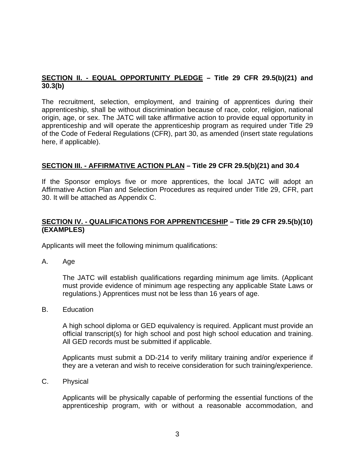#### **SECTION II. - EQUAL OPPORTUNITY PLEDGE – Title 29 CFR 29.5(b)(21) and 30.3(b)**

The recruitment, selection, employment, and training of apprentices during their apprenticeship, shall be without discrimination because of race, color, religion, national origin, age, or sex. The JATC will take affirmative action to provide equal opportunity in apprenticeship and will operate the apprenticeship program as required under Title 29 of the Code of Federal Regulations (CFR), part 30, as amended (insert state regulations here, if applicable).

#### **SECTION III. - AFFIRMATIVE ACTION PLAN – Title 29 CFR 29.5(b)(21) and 30.4**

If the Sponsor employs five or more apprentices, the local JATC will adopt an Affirmative Action Plan and Selection Procedures as required under Title 29, CFR, part 30. It will be attached as Appendix C.

#### **SECTION IV. - QUALIFICATIONS FOR APPRENTICESHIP – Title 29 CFR 29.5(b)(10) (EXAMPLES)**

Applicants will meet the following minimum qualifications:

A. Age

The JATC will establish qualifications regarding minimum age limits. (Applicant must provide evidence of minimum age respecting any applicable State Laws or regulations.) Apprentices must not be less than 16 years of age.

B. Education

A high school diploma or GED equivalency is required. Applicant must provide an official transcript(s) for high school and post high school education and training. All GED records must be submitted if applicable.

Applicants must submit a DD-214 to verify military training and/or experience if they are a veteran and wish to receive consideration for such training/experience.

C. Physical

Applicants will be physically capable of performing the essential functions of the apprenticeship program, with or without a reasonable accommodation, and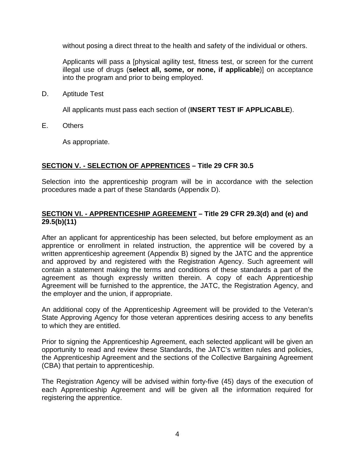without posing a direct threat to the health and safety of the individual or others.

Applicants will pass a [physical agility test, fitness test, or screen for the current illegal use of drugs (**select all, some, or none, if applicable**)] on acceptance into the program and prior to being employed.

D. Aptitude Test

All applicants must pass each section of (**INSERT TEST IF APPLICABLE**).

E. Others

As appropriate.

#### **SECTION V. - SELECTION OF APPRENTICES – Title 29 CFR 30.5**

Selection into the apprenticeship program will be in accordance with the selection procedures made a part of these Standards (Appendix D).

#### **SECTION VI. - APPRENTICESHIP AGREEMENT – Title 29 CFR 29.3(d) and (e) and 29.5(b)(11)**

After an applicant for apprenticeship has been selected, but before employment as an apprentice or enrollment in related instruction, the apprentice will be covered by a written apprenticeship agreement (Appendix B) signed by the JATC and the apprentice and approved by and registered with the Registration Agency. Such agreement will contain a statement making the terms and conditions of these standards a part of the agreement as though expressly written therein. A copy of each Apprenticeship Agreement will be furnished to the apprentice, the JATC, the Registration Agency, and the employer and the union, if appropriate.

An additional copy of the Apprenticeship Agreement will be provided to the Veteran's State Approving Agency for those veteran apprentices desiring access to any benefits to which they are entitled.

Prior to signing the Apprenticeship Agreement, each selected applicant will be given an opportunity to read and review these Standards, the JATC's written rules and policies, the Apprenticeship Agreement and the sections of the Collective Bargaining Agreement (CBA) that pertain to apprenticeship.

The Registration Agency will be advised within forty-five (45) days of the execution of each Apprenticeship Agreement and will be given all the information required for registering the apprentice.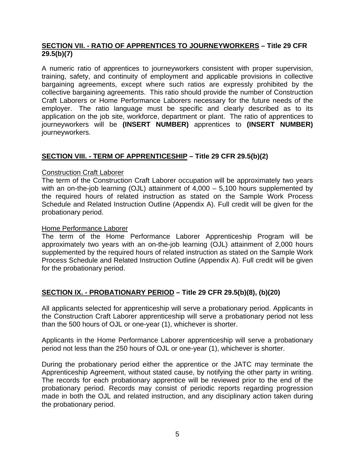#### **SECTION VII. - RATIO OF APPRENTICES TO JOURNEYWORKERS – Title 29 CFR 29.5(b)(7)**

A numeric ratio of apprentices to journeyworkers consistent with proper supervision, training, safety, and continuity of employment and applicable provisions in collective bargaining agreements, except where such ratios are expressly prohibited by the collective bargaining agreements. This ratio should provide the number of Construction Craft Laborers or Home Performance Laborers necessary for the future needs of the employer. The ratio language must be specific and clearly described as to its application on the job site, workforce, department or plant. The ratio of apprentices to journeyworkers will be **(INSERT NUMBER)** apprentices to **(INSERT NUMBER)** journeyworkers.

## **SECTION VIII. - TERM OF APPRENTICESHIP – Title 29 CFR 29.5(b)(2)**

#### Construction Craft Laborer

The term of the Construction Craft Laborer occupation will be approximately two years with an on-the-job learning (OJL) attainment of 4,000 – 5,100 hours supplemented by the required hours of related instruction as stated on the Sample Work Process Schedule and Related Instruction Outline (Appendix A). Full credit will be given for the probationary period.

#### Home Performance Laborer

The term of the Home Performance Laborer Apprenticeship Program will be approximately two years with an on-the-job learning (OJL) attainment of 2,000 hours supplemented by the required hours of related instruction as stated on the Sample Work Process Schedule and Related Instruction Outline (Appendix A). Full credit will be given for the probationary period.

#### **SECTION IX. - PROBATIONARY PERIOD – Title 29 CFR 29.5(b)(8), (b)(20)**

All applicants selected for apprenticeship will serve a probationary period. Applicants in the Construction Craft Laborer apprenticeship will serve a probationary period not less than the 500 hours of OJL or one-year (1), whichever is shorter.

Applicants in the Home Performance Laborer apprenticeship will serve a probationary period not less than the 250 hours of OJL or one-year (1), whichever is shorter.

During the probationary period either the apprentice or the JATC may terminate the Apprenticeship Agreement, without stated cause, by notifying the other party in writing. The records for each probationary apprentice will be reviewed prior to the end of the probationary period. Records may consist of periodic reports regarding progression made in both the OJL and related instruction, and any disciplinary action taken during the probationary period.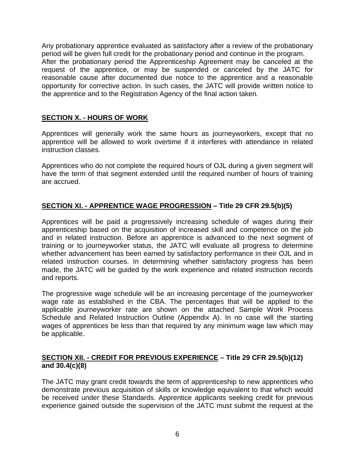Any probationary apprentice evaluated as satisfactory after a review of the probationary period will be given full credit for the probationary period and continue in the program. After the probationary period the Apprenticeship Agreement may be canceled at the request of the apprentice, or may be suspended or canceled by the JATC for reasonable cause after documented due notice to the apprentice and a reasonable opportunity for corrective action. In such cases, the JATC will provide written notice to the apprentice and to the Registration Agency of the final action taken.

#### **SECTION X. - HOURS OF WORK**

Apprentices will generally work the same hours as journeyworkers, except that no apprentice will be allowed to work overtime if it interferes with attendance in related instruction classes.

Apprentices who do not complete the required hours of OJL during a given segment will have the term of that segment extended until the required number of hours of training are accrued.

#### **SECTION XI. - APPRENTICE WAGE PROGRESSION – Title 29 CFR 29.5(b)(5)**

Apprentices will be paid a progressively increasing schedule of wages during their apprenticeship based on the acquisition of increased skill and competence on the job and in related instruction. Before an apprentice is advanced to the next segment of training or to journeyworker status, the JATC will evaluate all progress to determine whether advancement has been earned by satisfactory performance in their OJL and in related instruction courses. In determining whether satisfactory progress has been made, the JATC will be guided by the work experience and related instruction records and reports.

The progressive wage schedule will be an increasing percentage of the journeyworker wage rate as established in the CBA. The percentages that will be applied to the applicable journeyworker rate are shown on the attached Sample Work Process Schedule and Related Instruction Outline (Appendix A). In no case will the starting wages of apprentices be less than that required by any minimum wage law which may be applicable.

#### **SECTION XII. - CREDIT FOR PREVIOUS EXPERIENCE – Title 29 CFR 29.5(b)(12) and 30.4(c)(8)**

The JATC may grant credit towards the term of apprenticeship to new apprentices who demonstrate previous acquisition of skills or knowledge equivalent to that which would be received under these Standards. Apprentice applicants seeking credit for previous experience gained outside the supervision of the JATC must submit the request at the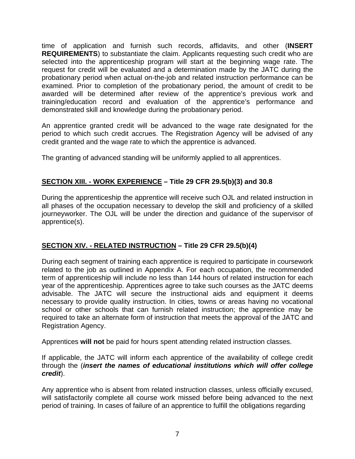time of application and furnish such records, affidavits, and other (**INSERT REQUIREMENTS**) to substantiate the claim. Applicants requesting such credit who are selected into the apprenticeship program will start at the beginning wage rate. The request for credit will be evaluated and a determination made by the JATC during the probationary period when actual on-the-job and related instruction performance can be examined. Prior to completion of the probationary period, the amount of credit to be awarded will be determined after review of the apprentice's previous work and training/education record and evaluation of the apprentice's performance and demonstrated skill and knowledge during the probationary period.

An apprentice granted credit will be advanced to the wage rate designated for the period to which such credit accrues. The Registration Agency will be advised of any credit granted and the wage rate to which the apprentice is advanced.

The granting of advanced standing will be uniformly applied to all apprentices.

## **SECTION XIII. - WORK EXPERIENCE – Title 29 CFR 29.5(b)(3) and 30.8**

During the apprenticeship the apprentice will receive such OJL and related instruction in all phases of the occupation necessary to develop the skill and proficiency of a skilled journeyworker. The OJL will be under the direction and guidance of the supervisor of apprentice(s).

#### **SECTION XIV. - RELATED INSTRUCTION – Title 29 CFR 29.5(b)(4)**

During each segment of training each apprentice is required to participate in coursework related to the job as outlined in Appendix A. For each occupation, the recommended term of apprenticeship will include no less than 144 hours of related instruction for each year of the apprenticeship. Apprentices agree to take such courses as the JATC deems advisable. The JATC will secure the instructional aids and equipment it deems necessary to provide quality instruction. In cities, towns or areas having no vocational school or other schools that can furnish related instruction; the apprentice may be required to take an alternate form of instruction that meets the approval of the JATC and Registration Agency.

Apprentices **will not** be paid for hours spent attending related instruction classes.

If applicable, the JATC will inform each apprentice of the availability of college credit through the (*insert the names of educational institutions which will offer college credit*).

Any apprentice who is absent from related instruction classes, unless officially excused, will satisfactorily complete all course work missed before being advanced to the next period of training. In cases of failure of an apprentice to fulfill the obligations regarding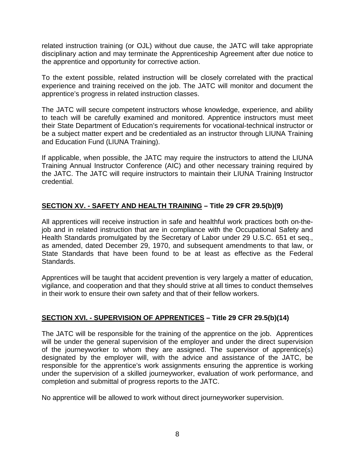related instruction training (or OJL) without due cause, the JATC will take appropriate disciplinary action and may terminate the Apprenticeship Agreement after due notice to the apprentice and opportunity for corrective action.

To the extent possible, related instruction will be closely correlated with the practical experience and training received on the job. The JATC will monitor and document the apprentice's progress in related instruction classes.

The JATC will secure competent instructors whose knowledge, experience, and ability to teach will be carefully examined and monitored. Apprentice instructors must meet their State Department of Education's requirements for vocational-technical instructor or be a subject matter expert and be credentialed as an instructor through LIUNA Training and Education Fund (LIUNA Training).

If applicable, when possible, the JATC may require the instructors to attend the LIUNA Training Annual Instructor Conference (AIC) and other necessary training required by the JATC. The JATC will require instructors to maintain their LIUNA Training Instructor credential.

## **SECTION XV. - SAFETY AND HEALTH TRAINING – Title 29 CFR 29.5(b)(9)**

All apprentices will receive instruction in safe and healthful work practices both on-thejob and in related instruction that are in compliance with the Occupational Safety and Health Standards promulgated by the Secretary of Labor under 29 U.S.C. 651 et seq., as amended, dated December 29, 1970, and subsequent amendments to that law, or State Standards that have been found to be at least as effective as the Federal Standards.

Apprentices will be taught that accident prevention is very largely a matter of education, vigilance, and cooperation and that they should strive at all times to conduct themselves in their work to ensure their own safety and that of their fellow workers.

#### **SECTION XVI. - SUPERVISION OF APPRENTICES – Title 29 CFR 29.5(b)(14)**

The JATC will be responsible for the training of the apprentice on the job. Apprentices will be under the general supervision of the employer and under the direct supervision of the journeyworker to whom they are assigned. The supervisor of apprentice(s) designated by the employer will, with the advice and assistance of the JATC, be responsible for the apprentice's work assignments ensuring the apprentice is working under the supervision of a skilled journeyworker, evaluation of work performance, and completion and submittal of progress reports to the JATC.

No apprentice will be allowed to work without direct journeyworker supervision.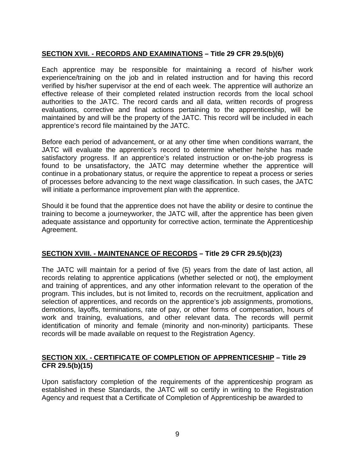## **SECTION XVII. - RECORDS AND EXAMINATIONS – Title 29 CFR 29.5(b)(6)**

Each apprentice may be responsible for maintaining a record of his/her work experience/training on the job and in related instruction and for having this record verified by his/her supervisor at the end of each week. The apprentice will authorize an effective release of their completed related instruction records from the local school authorities to the JATC. The record cards and all data, written records of progress evaluations, corrective and final actions pertaining to the apprenticeship, will be maintained by and will be the property of the JATC. This record will be included in each apprentice's record file maintained by the JATC.

Before each period of advancement, or at any other time when conditions warrant, the JATC will evaluate the apprentice's record to determine whether he/she has made satisfactory progress. If an apprentice's related instruction or on-the-job progress is found to be unsatisfactory, the JATC may determine whether the apprentice will continue in a probationary status, or require the apprentice to repeat a process or series of processes before advancing to the next wage classification. In such cases, the JATC will initiate a performance improvement plan with the apprentice.

Should it be found that the apprentice does not have the ability or desire to continue the training to become a journeyworker, the JATC will, after the apprentice has been given adequate assistance and opportunity for corrective action, terminate the Apprenticeship Agreement.

#### **SECTION XVIII. - MAINTENANCE OF RECORDS – Title 29 CFR 29.5(b)(23)**

The JATC will maintain for a period of five (5) years from the date of last action, all records relating to apprentice applications (whether selected or not), the employment and training of apprentices, and any other information relevant to the operation of the program. This includes, but is not limited to, records on the recruitment, application and selection of apprentices, and records on the apprentice's job assignments, promotions, demotions, layoffs, terminations, rate of pay, or other forms of compensation, hours of work and training, evaluations, and other relevant data. The records will permit identification of minority and female (minority and non-minority) participants. These records will be made available on request to the Registration Agency.

#### **SECTION XIX. - CERTIFICATE OF COMPLETION OF APPRENTICESHIP – Title 29 CFR 29.5(b)(15)**

Upon satisfactory completion of the requirements of the apprenticeship program as established in these Standards, the JATC will so certify in writing to the Registration Agency and request that a Certificate of Completion of Apprenticeship be awarded to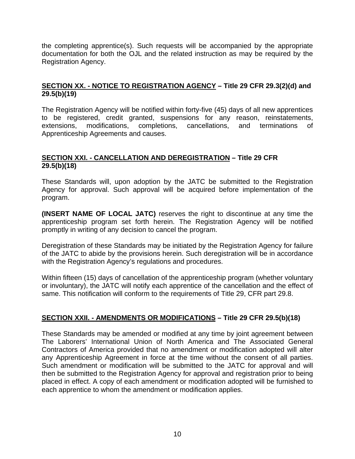the completing apprentice(s). Such requests will be accompanied by the appropriate documentation for both the OJL and the related instruction as may be required by the Registration Agency.

#### **SECTION XX. - NOTICE TO REGISTRATION AGENCY – Title 29 CFR 29.3(2)(d) and 29.5(b)(19)**

The Registration Agency will be notified within forty-five (45) days of all new apprentices to be registered, credit granted, suspensions for any reason, reinstatements, extensions, modifications, completions, cancellations, and terminations of Apprenticeship Agreements and causes.

#### **SECTION XXI. - CANCELLATION AND DEREGISTRATION – Title 29 CFR 29.5(b)(18)**

These Standards will, upon adoption by the JATC be submitted to the Registration Agency for approval. Such approval will be acquired before implementation of the program.

**(INSERT NAME OF LOCAL JATC)** reserves the right to discontinue at any time the apprenticeship program set forth herein. The Registration Agency will be notified promptly in writing of any decision to cancel the program.

Deregistration of these Standards may be initiated by the Registration Agency for failure of the JATC to abide by the provisions herein. Such deregistration will be in accordance with the Registration Agency's regulations and procedures.

Within fifteen (15) days of cancellation of the apprenticeship program (whether voluntary or involuntary), the JATC will notify each apprentice of the cancellation and the effect of same. This notification will conform to the requirements of Title 29, CFR part 29.8.

#### **SECTION XXII. - AMENDMENTS OR MODIFICATIONS – Title 29 CFR 29.5(b)(18)**

These Standards may be amended or modified at any time by joint agreement between The Laborers' International Union of North America and The Associated General Contractors of America provided that no amendment or modification adopted will alter any Apprenticeship Agreement in force at the time without the consent of all parties. Such amendment or modification will be submitted to the JATC for approval and will then be submitted to the Registration Agency for approval and registration prior to being placed in effect. A copy of each amendment or modification adopted will be furnished to each apprentice to whom the amendment or modification applies.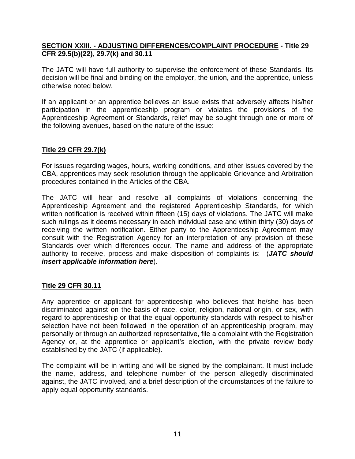#### **SECTION XXIII. - ADJUSTING DIFFERENCES/COMPLAINT PROCEDURE - Title 29 CFR 29.5(b)(22), 29.7(k) and 30.11**

The JATC will have full authority to supervise the enforcement of these Standards. Its decision will be final and binding on the employer, the union, and the apprentice, unless otherwise noted below.

If an applicant or an apprentice believes an issue exists that adversely affects his/her participation in the apprenticeship program or violates the provisions of the Apprenticeship Agreement or Standards, relief may be sought through one or more of the following avenues, based on the nature of the issue:

#### **Title 29 CFR 29.7(k)**

For issues regarding wages, hours, working conditions, and other issues covered by the CBA, apprentices may seek resolution through the applicable Grievance and Arbitration procedures contained in the Articles of the CBA.

The JATC will hear and resolve all complaints of violations concerning the Apprenticeship Agreement and the registered Apprenticeship Standards, for which written notification is received within fifteen (15) days of violations. The JATC will make such rulings as it deems necessary in each individual case and within thirty (30) days of receiving the written notification. Either party to the Apprenticeship Agreement may consult with the Registration Agency for an interpretation of any provision of these Standards over which differences occur. The name and address of the appropriate authority to receive, process and make disposition of complaints is: (*JATC should insert applicable information here*).

#### **Title 29 CFR 30.11**

Any apprentice or applicant for apprenticeship who believes that he/she has been discriminated against on the basis of race, color, religion, national origin, or sex, with regard to apprenticeship or that the equal opportunity standards with respect to his/her selection have not been followed in the operation of an apprenticeship program, may personally or through an authorized representative, file a complaint with the Registration Agency or, at the apprentice or applicant's election, with the private review body established by the JATC (if applicable).

The complaint will be in writing and will be signed by the complainant. It must include the name, address, and telephone number of the person allegedly discriminated against, the JATC involved, and a brief description of the circumstances of the failure to apply equal opportunity standards.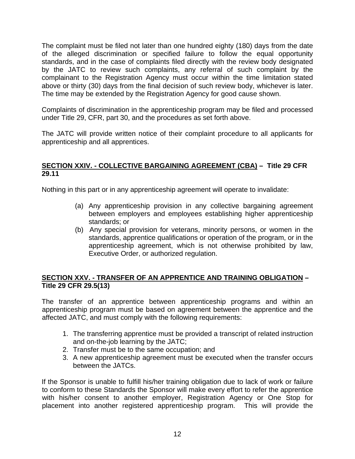The complaint must be filed not later than one hundred eighty (180) days from the date of the alleged discrimination or specified failure to follow the equal opportunity standards, and in the case of complaints filed directly with the review body designated by the JATC to review such complaints, any referral of such complaint by the complainant to the Registration Agency must occur within the time limitation stated above or thirty (30) days from the final decision of such review body, whichever is later. The time may be extended by the Registration Agency for good cause shown.

Complaints of discrimination in the apprenticeship program may be filed and processed under Title 29, CFR, part 30, and the procedures as set forth above.

The JATC will provide written notice of their complaint procedure to all applicants for apprenticeship and all apprentices.

#### **SECTION XXIV. - COLLECTIVE BARGAINING AGREEMENT (CBA) – Title 29 CFR 29.11**

Nothing in this part or in any apprenticeship agreement will operate to invalidate:

- (a) Any apprenticeship provision in any collective bargaining agreement between employers and employees establishing higher apprenticeship standards; or
- (b) Any special provision for veterans, minority persons, or women in the standards, apprentice qualifications or operation of the program, or in the apprenticeship agreement, which is not otherwise prohibited by law, Executive Order, or authorized regulation.

#### **SECTION XXV. - TRANSFER OF AN APPRENTICE AND TRAINING OBLIGATION – Title 29 CFR 29.5(13)**

The transfer of an apprentice between apprenticeship programs and within an apprenticeship program must be based on agreement between the apprentice and the affected JATC, and must comply with the following requirements:

- 1. The transferring apprentice must be provided a transcript of related instruction and on-the-job learning by the JATC;
- 2. Transfer must be to the same occupation; and
- 3. A new apprenticeship agreement must be executed when the transfer occurs between the JATCs.

If the Sponsor is unable to fulfill his/her training obligation due to lack of work or failure to conform to these Standards the Sponsor will make every effort to refer the apprentice with his/her consent to another employer, Registration Agency or One Stop for placement into another registered apprenticeship program. This will provide the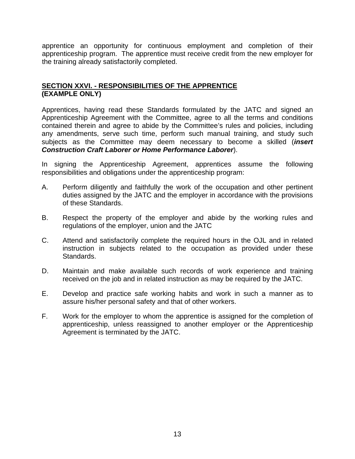apprentice an opportunity for continuous employment and completion of their apprenticeship program. The apprentice must receive credit from the new employer for the training already satisfactorily completed.

#### **SECTION XXVI. - RESPONSIBILITIES OF THE APPRENTICE (EXAMPLE ONLY)**

Apprentices, having read these Standards formulated by the JATC and signed an Apprenticeship Agreement with the Committee, agree to all the terms and conditions contained therein and agree to abide by the Committee's rules and policies, including any amendments, serve such time, perform such manual training, and study such subjects as the Committee may deem necessary to become a skilled (*insert Construction Craft Laborer or Home Performance Laborer*).

In signing the Apprenticeship Agreement, apprentices assume the following responsibilities and obligations under the apprenticeship program:

- A. Perform diligently and faithfully the work of the occupation and other pertinent duties assigned by the JATC and the employer in accordance with the provisions of these Standards.
- B. Respect the property of the employer and abide by the working rules and regulations of the employer, union and the JATC
- C. Attend and satisfactorily complete the required hours in the OJL and in related instruction in subjects related to the occupation as provided under these Standards.
- D. Maintain and make available such records of work experience and training received on the job and in related instruction as may be required by the JATC.
- E. Develop and practice safe working habits and work in such a manner as to assure his/her personal safety and that of other workers.
- F. Work for the employer to whom the apprentice is assigned for the completion of apprenticeship, unless reassigned to another employer or the Apprenticeship Agreement is terminated by the JATC.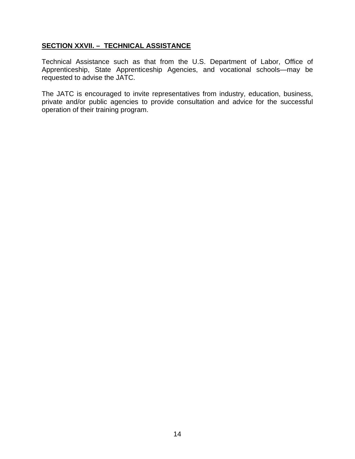#### **SECTION XXVII. – TECHNICAL ASSISTANCE**

Technical Assistance such as that from the U.S. Department of Labor, Office of Apprenticeship, State Apprenticeship Agencies, and vocational schools—may be requested to advise the JATC.

The JATC is encouraged to invite representatives from industry, education, business, private and/or public agencies to provide consultation and advice for the successful operation of their training program.